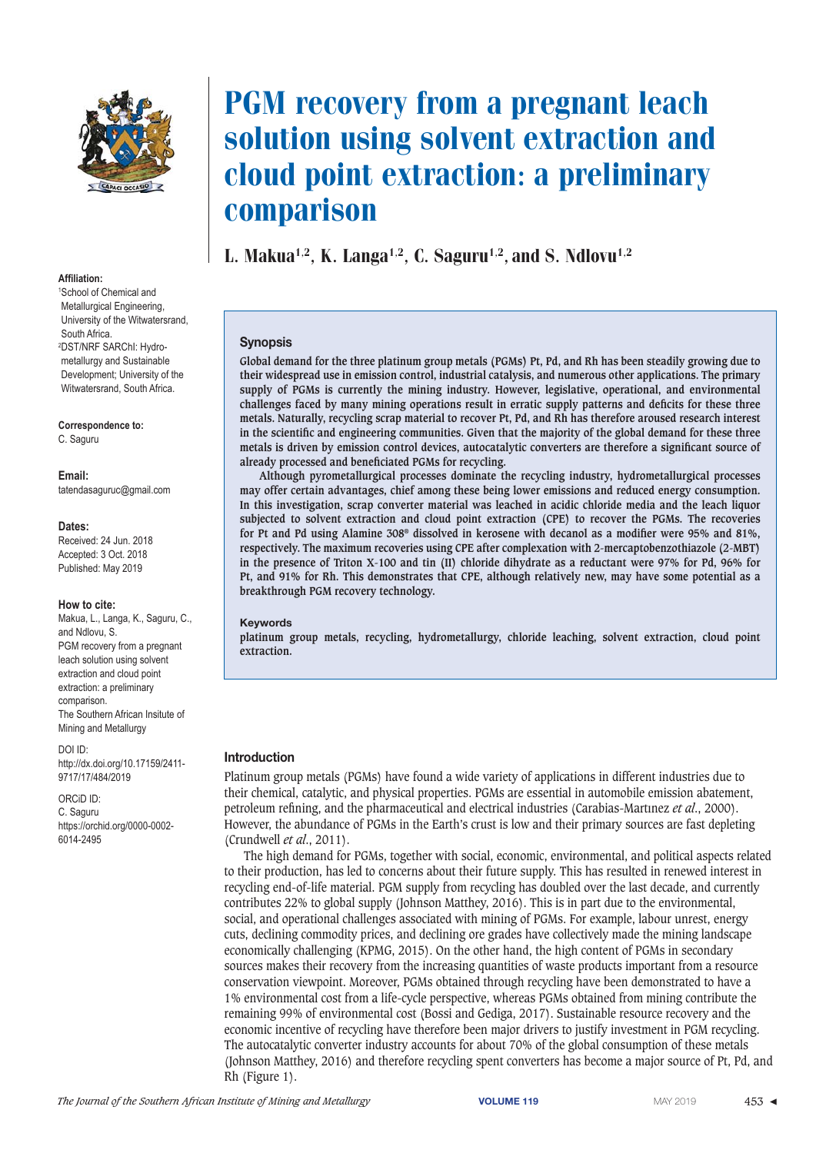

#### $Affiliation$

<sup>1</sup> School of Chemical and Metallurgical Engineering, University of the Witwatersrand, South Africa. 2 DST/NRF SARChI: Hydrometallurgy and Sustainable Development; University of the Witwatersrand, South Africa.

#### Correspondence to:

C. Saguru

#### Email:

tatendasaguruc@gmail.com

#### Dates:

Received: 24 Jun. 2018 Accepted: 3 Oct. 2018 Published: May 2019

#### **How to cite:**

Makua, L., Langa, K., Saguru, C., and Ndlovu, S. PGM recovery from a pregnant leach solution using solvent extraction and cloud point extraction: a preliminary comparison. The Southern African Insitute of Mining and Metallurgy

#### DOI ID:

http://dx.doi.org/10.17159/2411- 9717/17/484/2019

ORCiD ID: C. Saguru https://orchid.org/0000-0002- 6014-2495

# PGM recovery from a pregnant leach solution using solvent extraction and cloud point extraction: a preliminary comparison

L. Makua<sup>1,2</sup>, K. Langa<sup>1,2</sup>, C. Saguru<sup>1,2</sup>, and S. Ndlovu<sup>1,2</sup>

#### **Synopsis**

**Global demand for the three platinum group metals (PGMs) Pt, Pd, and Rh has been steadily growing due to their widespread use in emission control, industrial catalysis, and numerous other applications. The primary supply of PGMs is currently the mining industry. However, legislative, operational, and environmental challenges faced by many mining operations result in erratic supply patterns and deficits for these three metals. Naturally, recycling scrap material to recover Pt, Pd, and Rh has therefore aroused research interest in the scientific and engineering communities. Given that the majority of the global demand for these three metals is driven by emission control devices, autocatalytic converters are therefore a significant source of already processed and beneficiated PGMs for recycling.** 

**Although pyrometallurgical processes dominate the recycling industry, hydrometallurgical processes may offer certain advantages, chief among these being lower emissions and reduced energy consumption. In this investigation, scrap converter material was leached in acidic chloride media and the leach liquor subjected to solvent extraction and cloud point extraction (CPE) to recover the PGMs. The recoveries for Pt and Pd using Alamine 308® dissolved in kerosene with decanol as a modifier were 95% and 81%, respectively. The maximum recoveries using CPE after complexation with 2-mercaptobenzothiazole (2-MBT) in the presence of Triton X-100 and tin (II) chloride dihydrate as a reductant were 97% for Pd, 96% for Pt, and 91% for Rh. This demonstrates that CPE, although relatively new, may have some potential as a breakthrough PGM recovery technology.**

#### **Keywords**

**platinum group metals, recycling, hydrometallurgy, chloride leaching, solvent extraction, cloud point extraction.**

#### **Introduction**

Platinum group metals (PGMs) have found a wide variety of applications in different industries due to their chemical, catalytic, and physical properties. PGMs are essential in automobile emission abatement, petroleum refining, and the pharmaceutical and electrical industries (Carabias-Martınez *et al*., 2000). However, the abundance of PGMs in the Earth's crust is low and their primary sources are fast depleting (Crundwell *et al*., 2011).

The high demand for PGMs, together with social, economic, environmental, and political aspects related to their production, has led to concerns about their future supply. This has resulted in renewed interest in recycling end-of-life material. PGM supply from recycling has doubled over the last decade, and currently contributes 22% to global supply (Johnson Matthey, 2016). This is in part due to the environmental, social, and operational challenges associated with mining of PGMs. For example, labour unrest, energy cuts, declining commodity prices, and declining ore grades have collectively made the mining landscape economically challenging (KPMG, 2015). On the other hand, the high content of PGMs in secondary sources makes their recovery from the increasing quantities of waste products important from a resource conservation viewpoint. Moreover, PGMs obtained through recycling have been demonstrated to have a 1% environmental cost from a life-cycle perspective, whereas PGMs obtained from mining contribute the remaining 99% of environmental cost (Bossi and Gediga, 2017). Sustainable resource recovery and the economic incentive of recycling have therefore been major drivers to justify investment in PGM recycling. The autocatalytic converter industry accounts for about 70% of the global consumption of these metals (Johnson Matthey, 2016) and therefore recycling spent converters has become a major source of Pt, Pd, and Rh (Figure 1).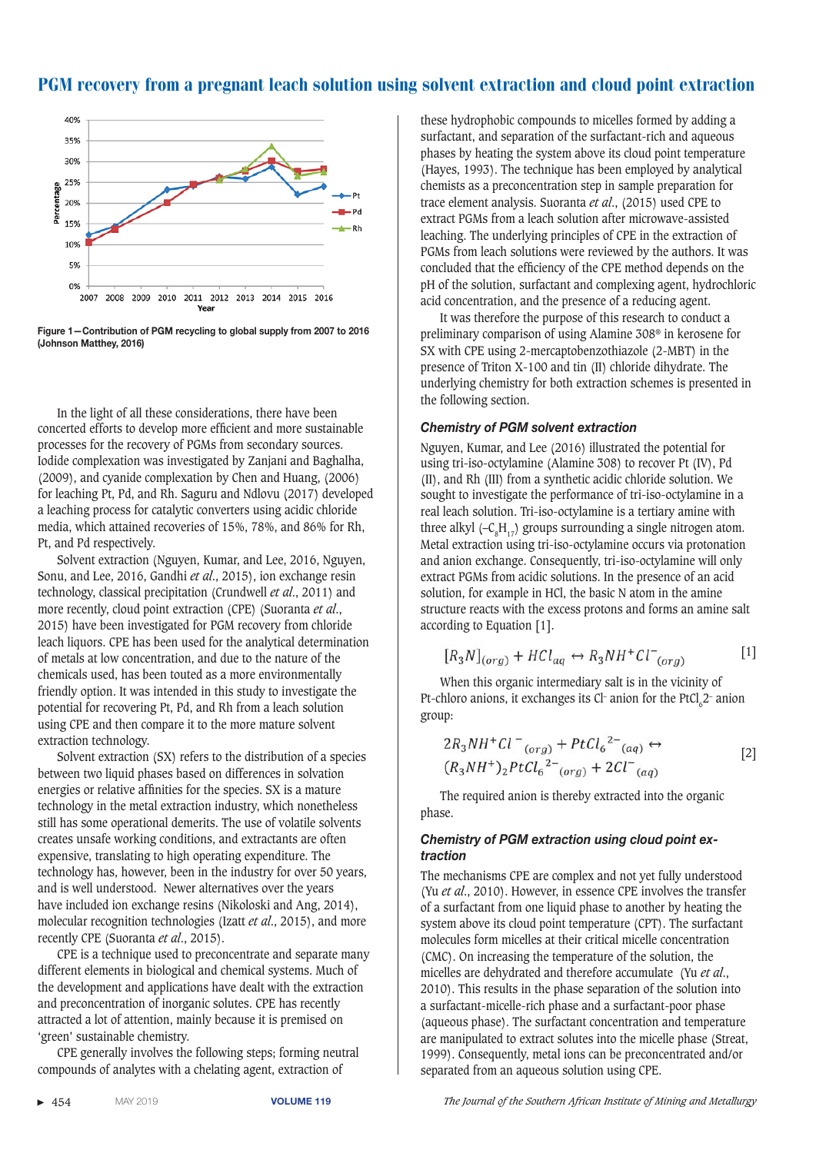

Figure 1-Contribution of PGM recycling to global supply from 2007 to 2016 **(Johnson Matthey, 2016)** 

In the light of all these considerations, there have been concerted efforts to develop more efficient and more sustainable processes for the recovery of PGMs from secondary sources. Iodide complexation was investigated by Zanjani and Baghalha, (2009), and cyanide complexation by Chen and Huang, (2006) for leaching Pt, Pd, and Rh. Saguru and Ndlovu (2017) developed a leaching process for catalytic converters using acidic chloride media, which attained recoveries of 15%, 78%, and 86% for Rh, Pt, and Pd respectively.

Solvent extraction (Nguyen, Kumar, and Lee, 2016, Nguyen, Sonu, and Lee, 2016, Gandhi *et al*., 2015), ion exchange resin technology, classical precipitation (Crundwell *et al*., 2011) and more recently, cloud point extraction (CPE) (Suoranta *et al*., 2015) have been investigated for PGM recovery from chloride leach liquors. CPE has been used for the analytical determination of metals at low concentration, and due to the nature of the chemicals used, has been touted as a more environmentally friendly option. It was intended in this study to investigate the potential for recovering Pt, Pd, and Rh from a leach solution using CPE and then compare it to the more mature solvent extraction technology.

Solvent extraction (SX) refers to the distribution of a species between two liquid phases based on differences in solvation energies or relative affinities for the species. SX is a mature technology in the metal extraction industry, which nonetheless still has some operational demerits. The use of volatile solvents creates unsafe working conditions, and extractants are often expensive, translating to high operating expenditure. The technology has, however, been in the industry for over 50 years, and is well understood. Newer alternatives over the years have included ion exchange resins (Nikoloski and Ang, 2014), molecular recognition technologies (Izatt *et al*., 2015), and more recently CPE (Suoranta *et al*., 2015).

CPE is a technique used to preconcentrate and separate many different elements in biological and chemical systems. Much of the development and applications have dealt with the extraction and preconcentration of inorganic solutes. CPE has recently attracted a lot of attention, mainly because it is premised on 'green' sustainable chemistry.

CPE generally involves the following steps; forming neutral compounds of analytes with a chelating agent, extraction of

these hydrophobic compounds to micelles formed by adding a surfactant, and separation of the surfactant-rich and aqueous phases by heating the system above its cloud point temperature (Hayes, 1993). The technique has been employed by analytical chemists as a preconcentration step in sample preparation for trace element analysis. Suoranta *et al*., (2015) used CPE to extract PGMs from a leach solution after microwave-assisted leaching. The underlying principles of CPE in the extraction of PGMs from leach solutions were reviewed by the authors. It was concluded that the efficiency of the CPE method depends on the pH of the solution, surfactant and complexing agent, hydrochloric acid concentration, and the presence of a reducing agent.

It was therefore the purpose of this research to conduct a preliminary comparison of using Alamine 308® in kerosene for SX with CPE using 2-mercaptobenzothiazole (2-MBT) in the presence of Triton X-100 and tin (II) chloride dihydrate. The underlying chemistry for both extraction schemes is presented in the following section.

#### **Chemistry of PGM solvent extraction**

Nguyen, Kumar, and Lee (2016) illustrated the potential for using tri-iso-octylamine (Alamine 308) to recover Pt (IV), Pd (II), and Rh (III) from a synthetic acidic chloride solution. We sought to investigate the performance of tri-iso-octylamine in a real leach solution. Tri-iso-octylamine is a tertiary amine with three alkyl  $(-C_{\rm s}H_{17})$  groups surrounding a single nitrogen atom. Metal extraction using tri-iso-octylamine occurs via protonation and anion exchange. Consequently, tri-iso-octylamine will only extract PGMs from acidic solutions. In the presence of an acid solution, for example in HCl, the basic N atom in the amine structure reacts with the excess protons and forms an amine salt according to Equation [1].

$$
[R_3N]_{(org)} + HCl_{aq} \leftrightarrow R_3NH^+Cl^-_{(org)}
$$
 [1]

When this organic intermediary salt is in the vicinity of Pt-chloro anions, it exchanges its Cl- anion for the  $PtCl<sub>6</sub>2$ - anion group:

$$
2R_3NH^+Cl^{-}{}_{(org)} + PtCl_6{}^{2-}{}_{(aq)} \leftrightarrow
$$
  
(R\_3NH^+)<sub>2</sub>PtCl<sub>6</sub><sup>2-</sup><sub>(org)</sub> + 2Cl<sup>-</sup><sub>(ag)</sub> (2]

The required anion is thereby extracted into the organic phase.

### Chemistry of PGM extraction using cloud point ex*traction*

The mechanisms CPE are complex and not yet fully understood (Yu *et al*., 2010). However, in essence CPE involves the transfer of a surfactant from one liquid phase to another by heating the system above its cloud point temperature (CPT). The surfactant molecules form micelles at their critical micelle concentration (CMC). On increasing the temperature of the solution, the micelles are dehydrated and therefore accumulate (Yu *et al*., 2010). This results in the phase separation of the solution into a surfactant-micelle-rich phase and a surfactant-poor phase (aqueous phase). The surfactant concentration and temperature are manipulated to extract solutes into the micelle phase (Streat, 1999). Consequently, metal ions can be preconcentrated and/or separated from an aqueous solution using CPE.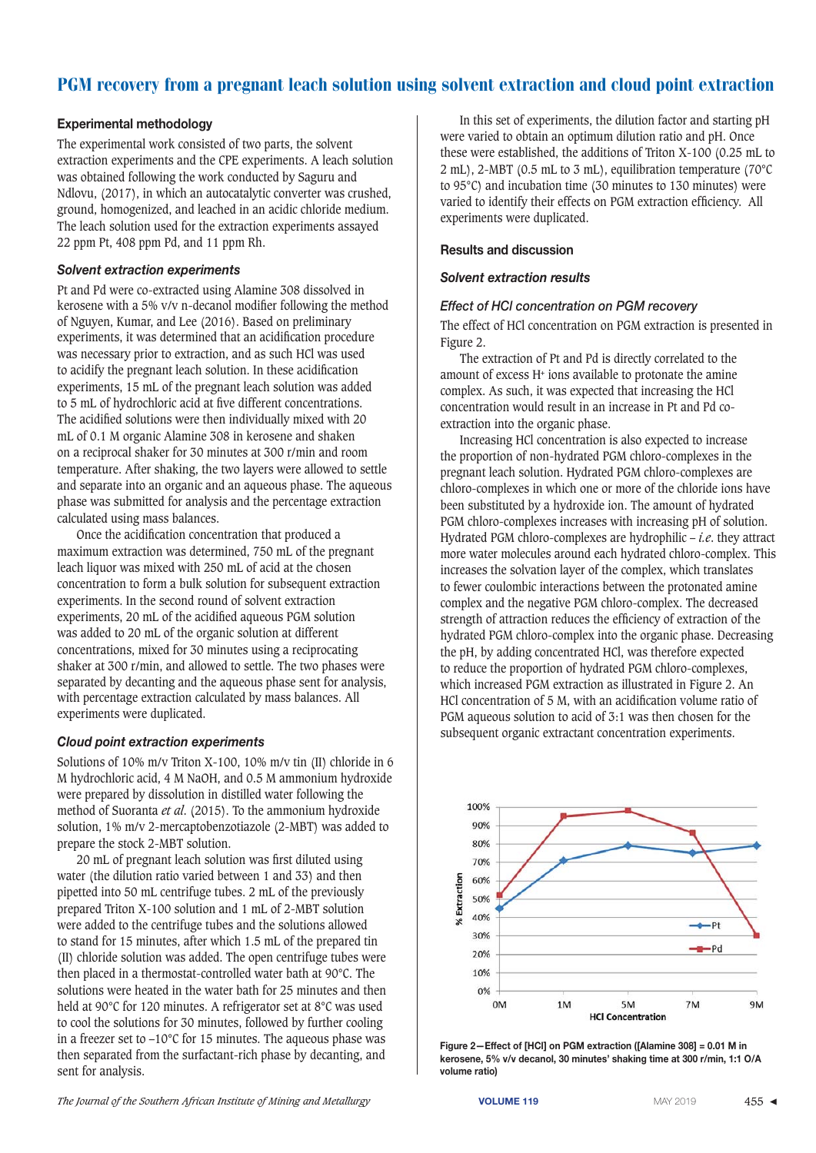## **Experimental methodology**

The experimental work consisted of two parts, the solvent extraction experiments and the CPE experiments. A leach solution was obtained following the work conducted by Saguru and Ndlovu, (2017), in which an autocatalytic converter was crushed, ground, homogenized, and leached in an acidic chloride medium. The leach solution used for the extraction experiments assayed 22 ppm Pt, 408 ppm Pd, and 11 ppm Rh.

## *Solvent extraction experiments*

Pt and Pd were co-extracted using Alamine 308 dissolved in kerosene with a 5% v/v n-decanol modifier following the method of Nguyen, Kumar, and Lee (2016). Based on preliminary experiments, it was determined that an acidification procedure was necessary prior to extraction, and as such HCl was used to acidify the pregnant leach solution. In these acidification experiments, 15 mL of the pregnant leach solution was added to 5 mL of hydrochloric acid at five different concentrations. The acidified solutions were then individually mixed with 20 mL of 0.1 M organic Alamine 308 in kerosene and shaken on a reciprocal shaker for 30 minutes at 300 r/min and room temperature. After shaking, the two layers were allowed to settle and separate into an organic and an aqueous phase. The aqueous phase was submitted for analysis and the percentage extraction calculated using mass balances.

Once the acidification concentration that produced a maximum extraction was determined, 750 mL of the pregnant leach liquor was mixed with 250 mL of acid at the chosen concentration to form a bulk solution for subsequent extraction experiments. In the second round of solvent extraction experiments, 20 mL of the acidified aqueous PGM solution was added to 20 mL of the organic solution at different concentrations, mixed for 30 minutes using a reciprocating shaker at 300 r/min, and allowed to settle. The two phases were separated by decanting and the aqueous phase sent for analysis, with percentage extraction calculated by mass balances. All experiments were duplicated.

## *Cloud point extraction experiments*

Solutions of 10% m/v Triton X-100, 10% m/v tin (II) chloride in 6 M hydrochloric acid, 4 M NaOH, and 0.5 M ammonium hydroxide were prepared by dissolution in distilled water following the method of Suoranta *et al*. (2015). To the ammonium hydroxide solution, 1% m/v 2-mercaptobenzotiazole (2-MBT) was added to prepare the stock 2-MBT solution.

20 mL of pregnant leach solution was first diluted using water (the dilution ratio varied between 1 and 33) and then pipetted into 50 mL centrifuge tubes. 2 mL of the previously prepared Triton X-100 solution and 1 mL of 2-MBT solution were added to the centrifuge tubes and the solutions allowed to stand for 15 minutes, after which 1.5 mL of the prepared tin (II) chloride solution was added. The open centrifuge tubes were then placed in a thermostat-controlled water bath at 90°C. The solutions were heated in the water bath for 25 minutes and then held at 90°C for 120 minutes. A refrigerator set at 8°C was used to cool the solutions for 30 minutes, followed by further cooling in a freezer set to –10°C for 15 minutes. The aqueous phase was then separated from the surfactant-rich phase by decanting, and sent for analysis.

In this set of experiments, the dilution factor and starting pH were varied to obtain an optimum dilution ratio and pH. Once these were established, the additions of Triton X-100 (0.25 mL to 2 mL), 2-MBT (0.5 mL to 3 mL), equilibration temperature (70°C to 95°C) and incubation time (30 minutes to 130 minutes) were varied to identify their effects on PGM extraction efficiency. All experiments were duplicated.

## **Results and discussion**

### *Solvent extraction results*

## *Effect of HCl concentration on PGM recovery*

The effect of HCl concentration on PGM extraction is presented in Figure 2.

The extraction of Pt and Pd is directly correlated to the amount of excess H+ ions available to protonate the amine complex. As such, it was expected that increasing the HCl concentration would result in an increase in Pt and Pd coextraction into the organic phase.

Increasing HCl concentration is also expected to increase the proportion of non-hydrated PGM chloro-complexes in the pregnant leach solution. Hydrated PGM chloro-complexes are chloro-complexes in which one or more of the chloride ions have been substituted by a hydroxide ion. The amount of hydrated PGM chloro-complexes increases with increasing pH of solution. Hydrated PGM chloro-complexes are hydrophilic – *i.e*. they attract more water molecules around each hydrated chloro-complex. This increases the solvation layer of the complex, which translates to fewer coulombic interactions between the protonated amine complex and the negative PGM chloro-complex. The decreased strength of attraction reduces the efficiency of extraction of the hydrated PGM chloro-complex into the organic phase. Decreasing the pH, by adding concentrated HCl, was therefore expected to reduce the proportion of hydrated PGM chloro-complexes, which increased PGM extraction as illustrated in Figure 2. An HCl concentration of 5 M, with an acidification volume ratio of PGM aqueous solution to acid of 3:1 was then chosen for the subsequent organic extractant concentration experiments.



Figure 2-Effect of **[HCI]** on PGM extraction ([Alamine 308] = 0.01 M in kerosene, 5% v/v decanol, 30 minutes' shaking time at 300 r/min, 1:1 O/A **volume ratio)**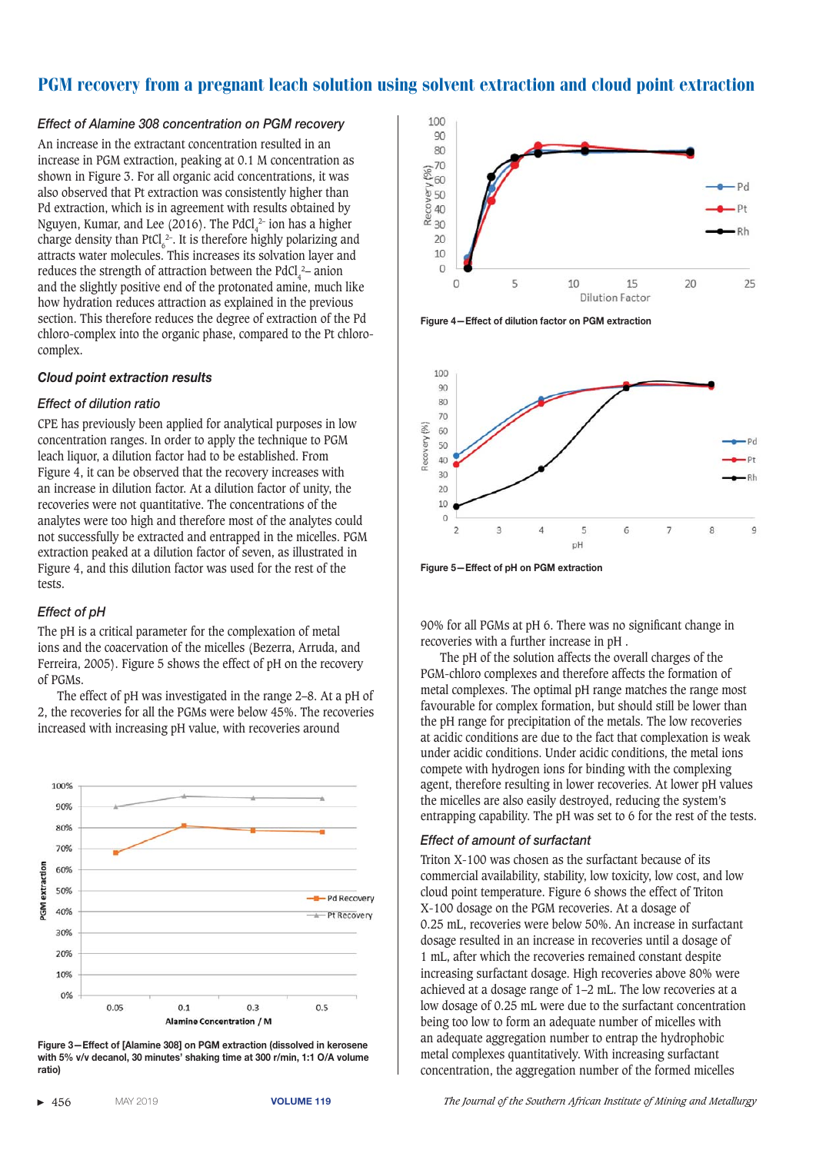#### *Effect of Alamine 308 concentration on PGM recovery*

An increase in the extractant concentration resulted in an increase in PGM extraction, peaking at 0.1 M concentration as shown in Figure 3. For all organic acid concentrations, it was also observed that Pt extraction was consistently higher than Pd extraction, which is in agreement with results obtained by Nguyen, Kumar, and Lee (2016). The  $PdCl_4^2$  ion has a higher charge density than  $PfCl_6^2$ . It is therefore highly polarizing and attracts water molecules. This increases its solvation layer and reduces the strength of attraction between the  $PdCl_4^2$ – anion and the slightly positive end of the protonated amine, much like how hydration reduces attraction as explained in the previous section. This therefore reduces the degree of extraction of the Pd chloro-complex into the organic phase, compared to the Pt chlorocomplex.

#### *Cloud point extraction results*

#### *Effect of dilution ratio*

CPE has previously been applied for analytical purposes in low concentration ranges. In order to apply the technique to PGM leach liquor, a dilution factor had to be established. From Figure 4, it can be observed that the recovery increases with an increase in dilution factor. At a dilution factor of unity, the recoveries were not quantitative. The concentrations of the analytes were too high and therefore most of the analytes could not successfully be extracted and entrapped in the micelles. PGM extraction peaked at a dilution factor of seven, as illustrated in Figure 4, and this dilution factor was used for the rest of the tests.

#### *Effect of pH*

The pH is a critical parameter for the complexation of metal ions and the coacervation of the micelles (Bezerra, Arruda, and Ferreira, 2005). Figure 5 shows the effect of pH on the recovery of PGMs.

The effect of pH was investigated in the range 2–8. At a pH of 2, the recoveries for all the PGMs were below 45%. The recoveries increased with increasing pH value, with recoveries around



Figure 3-Effect of [Alamine 308] on PGM extraction (dissolved in kerosene with 5% v/v decanol, 30 minutes' shaking time at 300 r/min, 1:1 O/A volume **ratio)** 



Figure 4-Effect of dilution factor on PGM extraction



Figure 5-Effect of pH on PGM extraction

90% for all PGMs at pH 6. There was no significant change in recoveries with a further increase in pH .

The pH of the solution affects the overall charges of the PGM-chloro complexes and therefore affects the formation of metal complexes. The optimal pH range matches the range most favourable for complex formation, but should still be lower than the pH range for precipitation of the metals. The low recoveries at acidic conditions are due to the fact that complexation is weak under acidic conditions. Under acidic conditions, the metal ions compete with hydrogen ions for binding with the complexing agent, therefore resulting in lower recoveries. At lower pH values the micelles are also easily destroyed, reducing the system's entrapping capability. The pH was set to 6 for the rest of the tests.

#### *Effect of amount of surfactant*

Triton X-100 was chosen as the surfactant because of its commercial availability, stability, low toxicity, low cost, and low cloud point temperature. Figure 6 shows the effect of Triton X-100 dosage on the PGM recoveries. At a dosage of 0.25 mL, recoveries were below 50%. An increase in surfactant dosage resulted in an increase in recoveries until a dosage of 1 mL, after which the recoveries remained constant despite increasing surfactant dosage. High recoveries above 80% were achieved at a dosage range of 1–2 mL. The low recoveries at a low dosage of 0.25 mL were due to the surfactant concentration being too low to form an adequate number of micelles with an adequate aggregation number to entrap the hydrophobic metal complexes quantitatively. With increasing surfactant concentration, the aggregation number of the formed micelles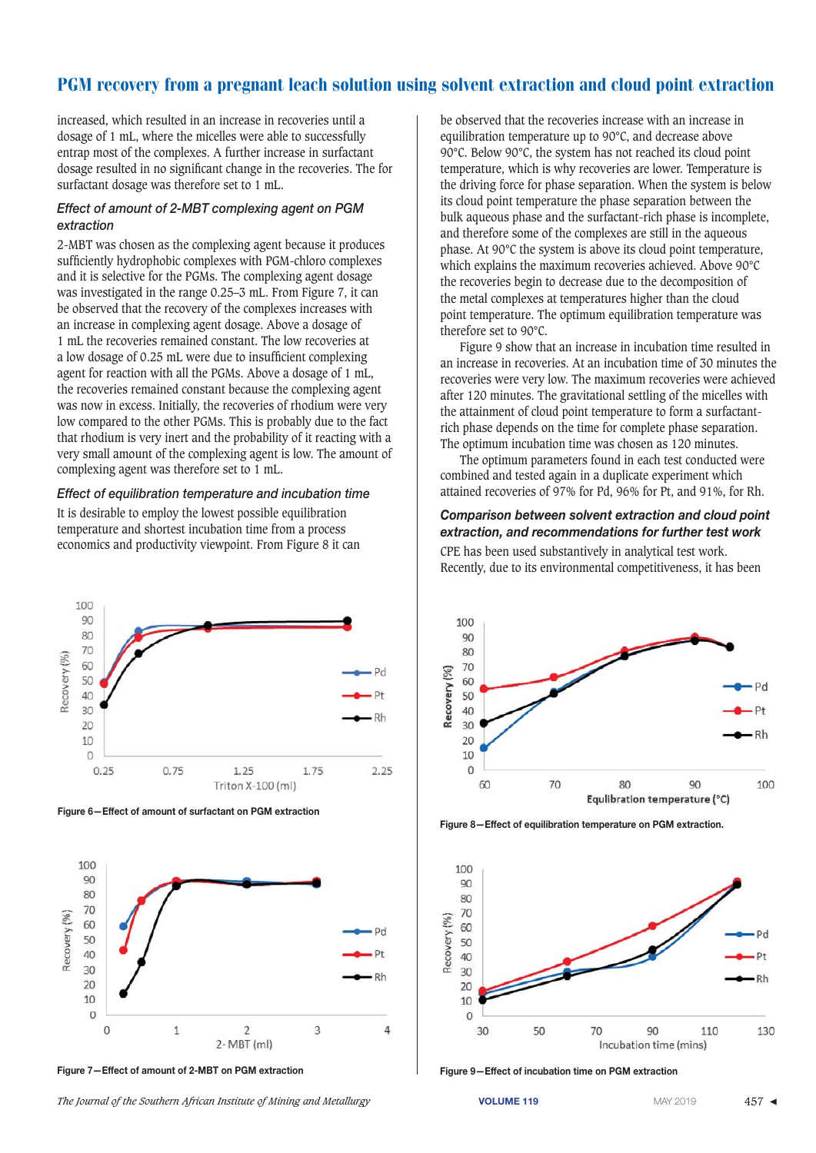increased, which resulted in an increase in recoveries until a dosage of 1 mL, where the micelles were able to successfully entrap most of the complexes. A further increase in surfactant dosage resulted in no significant change in the recoveries. The for surfactant dosage was therefore set to 1 mL.

#### **Effect of amount of 2-MBT complexing agent on PGM** *extraction*

2-MBT was chosen as the complexing agent because it produces sufficiently hydrophobic complexes with PGM-chloro complexes and it is selective for the PGMs. The complexing agent dosage was investigated in the range 0.25–3 mL. From Figure 7, it can be observed that the recovery of the complexes increases with an increase in complexing agent dosage. Above a dosage of 1 mL the recoveries remained constant. The low recoveries at a low dosage of 0.25 mL were due to insufficient complexing agent for reaction with all the PGMs. Above a dosage of 1 mL, the recoveries remained constant because the complexing agent was now in excess. Initially, the recoveries of rhodium were very low compared to the other PGMs. This is probably due to the fact that rhodium is very inert and the probability of it reacting with a very small amount of the complexing agent is low. The amount of complexing agent was therefore set to 1 mL.

#### *Effect of equilibration temperature and incubation time*

It is desirable to employ the lowest possible equilibration temperature and shortest incubation time from a process economics and productivity viewpoint. From Figure 8 it can



Figure 6-Effect of amount of surfactant on PGM extraction



Figure 7-Effect of amount of 2-MBT on PGM extraction **and the state of a state of incubation time on PGM** extraction

The Journal of the Southern African Institute of Mining and Metallurgy **VOLUME 119** MAY 2019 MAY 2019 457 ◀

be observed that the recoveries increase with an increase in equilibration temperature up to 90°C, and decrease above 90°C. Below 90°C, the system has not reached its cloud point temperature, which is why recoveries are lower. Temperature is the driving force for phase separation. When the system is below its cloud point temperature the phase separation between the bulk aqueous phase and the surfactant-rich phase is incomplete, and therefore some of the complexes are still in the aqueous phase. At 90°C the system is above its cloud point temperature, which explains the maximum recoveries achieved. Above 90°C the recoveries begin to decrease due to the decomposition of the metal complexes at temperatures higher than the cloud point temperature. The optimum equilibration temperature was therefore set to 90°C.

Figure 9 show that an increase in incubation time resulted in an increase in recoveries. At an incubation time of 30 minutes the recoveries were very low. The maximum recoveries were achieved after 120 minutes. The gravitational settling of the micelles with the attainment of cloud point temperature to form a surfactantrich phase depends on the time for complete phase separation. The optimum incubation time was chosen as 120 minutes.

The optimum parameters found in each test conducted were combined and tested again in a duplicate experiment which attained recoveries of 97% for Pd, 96% for Pt, and 91%, for Rh.

# *Comparison between solvent extraction and cloud point*  extraction, and recommendations for further test work

CPE has been used substantively in analytical test work. Recently, due to its environmental competitiveness, it has been



Figure 8-Effect of equilibration temperature on PGM extraction.